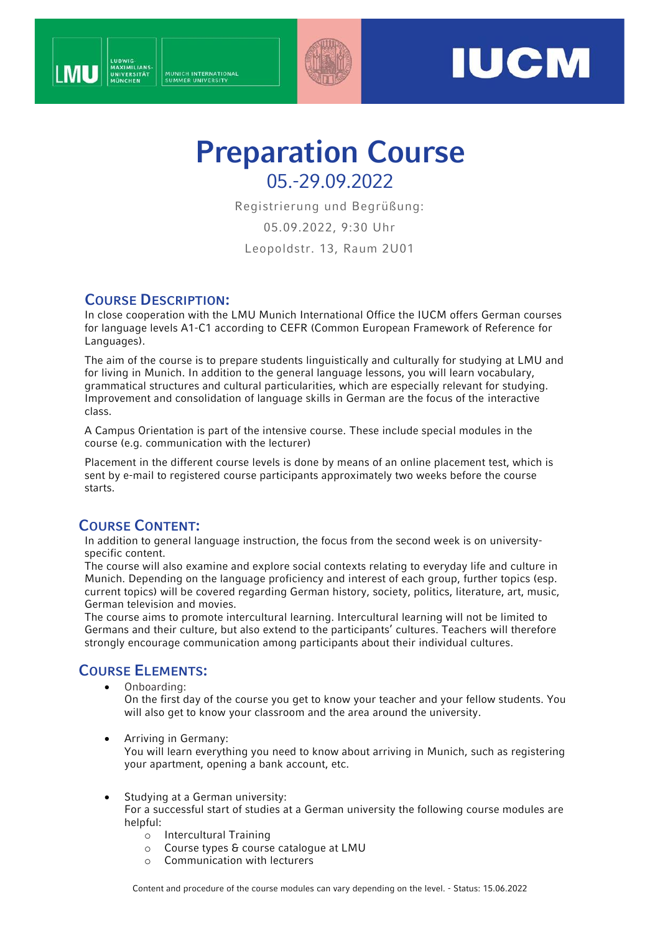



# **Preparation Course** 05.-29.09.2022

Registrierung und Begrüßung:

05.09.2022, 9:30 Uhr

Leopoldstr. 13, Raum 2U01

### **COURSE DESCRIPTION:**

In close cooperation with the LMU Munich International Office the IUCM offers German courses for language levels A1-C1 according to CEFR (Common European Framework of Reference for Languages).

The aim of the course is to prepare students linguistically and culturally for studying at LMU and for living in Munich. In addition to the general language lessons, you will learn vocabulary, grammatical structures and cultural particularities, which are especially relevant for studying. Improvement and consolidation of language skills in German are the focus of the interactive class.

A Campus Orientation is part of the intensive course. These include special modules in the course (e.g. communication with the lecturer)

Placement in the different course levels is done by means of an online placement test, which is sent by e-mail to registered course participants approximately two weeks before the course starts.

# **COURSE CONTENT:**

In addition to general language instruction, the focus from the second week is on universityspecific content.

The course will also examine and explore social contexts relating to everyday life and culture in Munich. Depending on the language proficiency and interest of each group, further topics (esp. current topics) will be covered regarding German history, society, politics, literature, art, music, German television and movies.

The course aims to promote intercultural learning. Intercultural learning will not be limited to Germans and their culture, but also extend to the participants' cultures. Teachers will therefore strongly encourage communication among participants about their individual cultures.

# **COURSE ELEMENTS:**

• Onboarding:

On the first day of the course you get to know your teacher and your fellow students. You will also get to know your classroom and the area around the university.

• Arriving in Germany:

You will learn everything you need to know about arriving in Munich, such as registering your apartment, opening a bank account, etc.

Studying at a German university:

For a successful start of studies at a German university the following course modules are helpful:

- o Intercultural Training
- o Course types & course catalogue at LMU
- o Communication with lecturers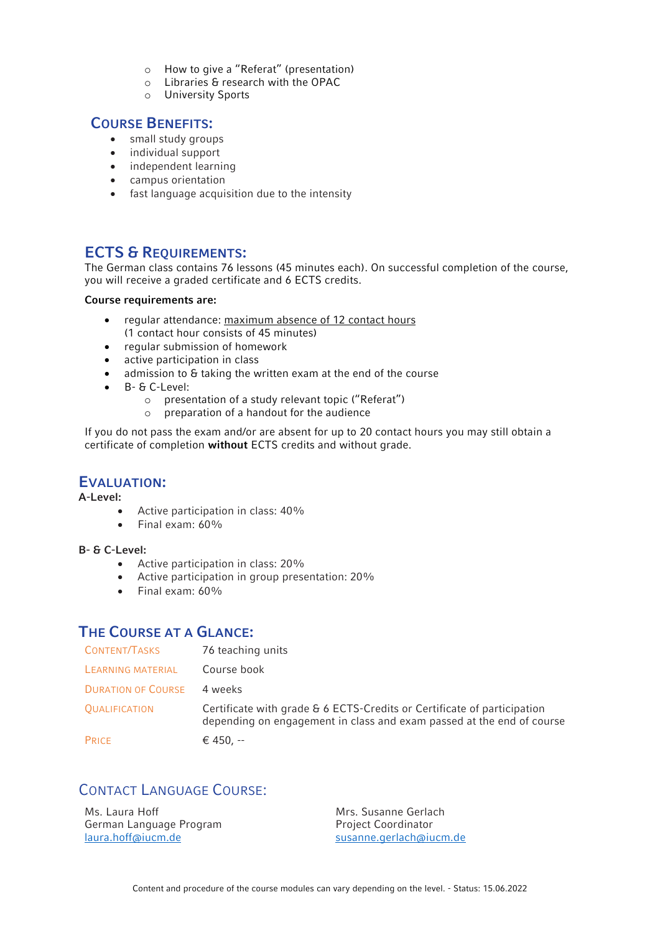- o How to give a "Referat" (presentation)
- o Libraries & research with the OPAC
- o University Sports

### **COURSE BENEFITS:**

- small study groups
- individual support
- independent learning
- campus orientation
- fast language acquisition due to the intensity

### **ECTS & REQUIREMENTS:**

The German class contains 76 lessons (45 minutes each). On successful completion of the course, you will receive a graded certificate and 6 ECTS credits.

#### **Course requirements are:**

- regular attendance: maximum absence of 12 contact hours (1 contact hour consists of 45 minutes)
- regular submission of homework
- active participation in class
- admission to & taking the written exam at the end of the course
- B- & C-Level:
	- o presentation of a study relevant topic ("Referat")
	- o preparation of a handout for the audience

If you do not pass the exam and/or are absent for up to 20 contact hours you may still obtain a certificate of completion **without** ECTS credits and without grade.

#### **EVALUATION:**

**A-Level:**

- Active participation in class: 40%
- Final exam: 60%

#### **B- & C-Level:**

- Active participation in class: 20%
- Active participation in group presentation: 20%
- Final exam: 60%

### **THE COURSE AT A GLANCE:**

| CONTENT/TASKS             | 76 teaching units                                                                                                                                |
|---------------------------|--------------------------------------------------------------------------------------------------------------------------------------------------|
| LEARNING MATERIAL         | Course book                                                                                                                                      |
| <b>DURATION OF COURSE</b> | 4 weeks                                                                                                                                          |
| <b>QUALIFICATION</b>      | Certificate with grade & 6 ECTS-Credits or Certificate of participation<br>depending on engagement in class and exam passed at the end of course |
| PRICE                     | € 450, --                                                                                                                                        |

# CONTACT LANGUAGE COURSE:

Ms. Laura Hoff German Language Program [laura.hoff@iucm.de](mailto:laura.hoff@iucm.de)

Mrs. Susanne Gerlach Project Coordinator [susanne.gerlach@iucm.de](mailto:susanne.gerlach@iucm.de)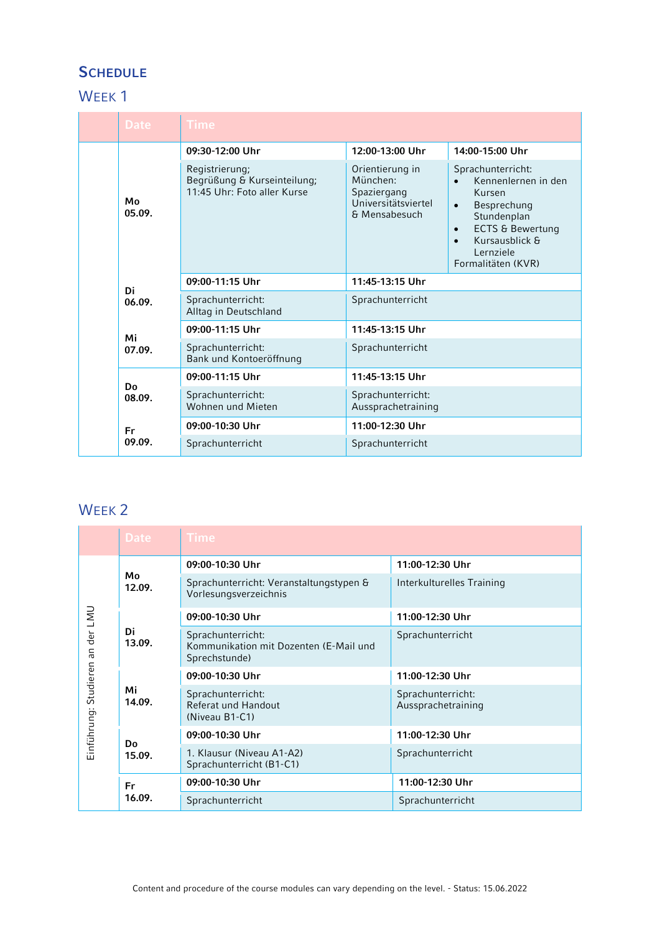# **SCHEDULE**

# WEEK<sub>1</sub>

|  | <b>Date</b>  | Time                                                                         |                                                                                    |                                                                                                                                                                                                             |
|--|--------------|------------------------------------------------------------------------------|------------------------------------------------------------------------------------|-------------------------------------------------------------------------------------------------------------------------------------------------------------------------------------------------------------|
|  | Mo<br>05.09. | 09:30-12:00 Uhr                                                              | 12:00-13:00 Uhr                                                                    | 14:00-15:00 Uhr                                                                                                                                                                                             |
|  |              | Registrierung;<br>Begrüßung & Kurseinteilung;<br>11:45 Uhr: Foto aller Kurse | Orientierung in<br>München:<br>Spaziergang<br>Universitätsviertel<br>& Mensabesuch | Sprachunterricht:<br>Kennenlernen in den<br>Kursen<br>Besprechung<br>$\bullet$<br>Stundenplan<br><b>ECTS &amp; Bewertung</b><br>$\bullet$<br>Kursausblick &<br>$\bullet$<br>Lernziele<br>Formalitäten (KVR) |
|  | Di<br>06.09. | 09:00-11:15 Uhr                                                              | 11:45-13:15 Uhr                                                                    |                                                                                                                                                                                                             |
|  |              | Sprachunterricht:<br>Alltag in Deutschland                                   | Sprachunterricht                                                                   |                                                                                                                                                                                                             |
|  | Mi<br>07.09. | 09:00-11:15 Uhr                                                              | 11:45-13:15 Uhr                                                                    |                                                                                                                                                                                                             |
|  |              | Sprachunterricht:<br>Bank und Kontoeröffnung                                 | Sprachunterricht                                                                   |                                                                                                                                                                                                             |
|  | Do<br>08.09. | 09:00-11:15 Uhr                                                              | 11:45-13:15 Uhr                                                                    |                                                                                                                                                                                                             |
|  |              | Sprachunterricht:<br>Wohnen und Mieten                                       | Sprachunterricht:<br>Aussprachetraining                                            |                                                                                                                                                                                                             |
|  | Fr<br>09.09. | 09:00-10:30 Uhr                                                              | 11:00-12:30 Uhr                                                                    |                                                                                                                                                                                                             |
|  |              | Sprachunterricht                                                             | Sprachunterricht                                                                   |                                                                                                                                                                                                             |

# WEEK<sub>2</sub>

|                                        | <b>Date</b>         | <b>Time</b>                                                                  |                                         |  |
|----------------------------------------|---------------------|------------------------------------------------------------------------------|-----------------------------------------|--|
| an der LMU<br>Studieren<br>Einführung: | Mo<br>12.09.        | 09:00-10:30 Uhr                                                              | 11:00-12:30 Uhr                         |  |
|                                        |                     | Sprachunterricht: Veranstaltungstypen &<br>Vorlesungsverzeichnis             | Interkulturelles Training               |  |
|                                        | Di<br>13.09.        | 09:00-10:30 Uhr                                                              | 11:00-12:30 Uhr                         |  |
|                                        |                     | Sprachunterricht:<br>Kommunikation mit Dozenten (E-Mail und<br>Sprechstunde) | Sprachunterricht                        |  |
|                                        | Mi<br>14.09.        | 09:00-10:30 Uhr                                                              | 11:00-12:30 Uhr                         |  |
|                                        |                     | Sprachunterricht:<br>Referat und Handout<br>(Niveau B1-C1)                   | Sprachunterricht:<br>Aussprachetraining |  |
|                                        | Do<br>15.09.        | 09:00-10:30 Uhr                                                              | 11:00-12:30 Uhr                         |  |
|                                        |                     | 1. Klausur (Niveau A1-A2)<br>Sprachunterricht (B1-C1)                        | Sprachunterricht                        |  |
|                                        | <b>Fr</b><br>16.09. | 09:00-10:30 Uhr                                                              | 11:00-12:30 Uhr                         |  |
|                                        |                     | Sprachunterricht                                                             | Sprachunterricht                        |  |